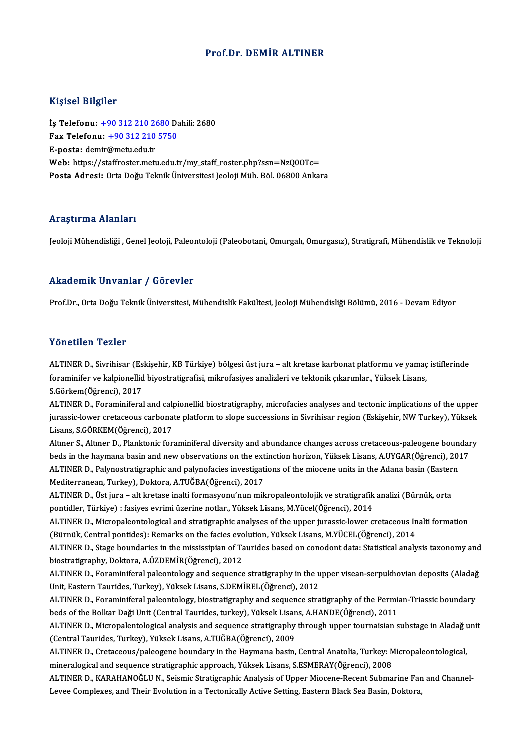### Prof.Dr. DEMİR ALTINER

## Kişisel Bilgiler

İş Telefonu: +90 312 210 2680 Dahili: 2680 1133001 2115101<br>İş Telefonu: <u>+90 312 210 2680</u> Da<br>Fax Telefonu: <u>+90 312 210 5750</u><br>Fansta: demir@metu.edu.tr İş Telefonu: <u>+90 312 210 20</u><br>Fax Telefonu: <u>+90 312 210</u><br>E-posta: de[mir](tel:+90 312 210 2680)[@metu.edu.tr](tel:+90 312 210 5750)<br>Web: bttps://staffrester.met E-posta: demir@metu.edu.tr<br>Web: https://staffroster.metu.edu.tr/my\_staff\_roster.php?ssn=NzQ0OTc= Posta Adresi: Orta Doğu Teknik Üniversitesi Jeoloji Müh. Böl. 06800 Ankara

### Araştırma Alanları

Jeoloji Mühendisliği , Genel Jeoloji, Paleontoloji (Paleobotani, Omurgalı, Omurgasız), Stratigrafi, Mühendislik ve Teknoloji

## Akademik Unvanlar / Görevler

Prof.Dr., Orta Doğu Teknik Üniversitesi, Mühendislik Fakültesi, Jeoloji Mühendisliği Bölümü, 2016 - Devam Ediyor

## Yönetilen Tezler

Yönetilen Tezler<br>ALTINER D., Sivrihisar (Eskişehir, KB Türkiye) bölgesi üst jura – alt kretase karbonat platformu ve yamaç istiflerinde<br>foraminifer ve kalpionellid bivestratisrafisi, mikrofasiyes analirleri ve tektonik sık f offettler i eller.<br>ALTINER D., Sivrihisar (Eskişehir, KB Türkiye) bölgesi üst jura – alt kretase karbonat platformu ve yamaç<br>foraminifer ve kalpionellid biyostratigrafisi, mikrofasiyes analizleri ve tektonik çıkarımlar., ALTINER D., Sivrihisar (Es<br>foraminifer ve kalpionellid<br>S.Görkem(Öğrenci), 2017<br>ALTINER D. Foraminiforal foraminifer ve kalpionellid biyostratigrafisi, mikrofasiyes analizleri ve tektonik çıkarımlar., Yüksek Lisans,<br>S.Görkem(Öğrenci), 2017<br>ALTINER D., Foraminiferal and calpionellid biostratigraphy, microfacies analyses and te

S.Görkem(Öğrenci), 2017<br>ALTINER D., Foraminiferal and calpionellid biostratigraphy, microfacies analyses and tectonic implications of the upper<br>jurassic-lower cretaceous carbonate platform to slope successions in Sivrihisa ALTINER D., Foraminiferal and cal<sub>l</sub><br>jurassic-lower cretaceous carbona<br>Lisans, S.GÖRKEM(Öğrenci), 2017<br>Altner S. Altner D. Planktonis for jurassic-lower cretaceous carbonate platform to slope successions in Sivrihisar region (Eskişehir, NW Turkey), Yüksek<br>Lisans, S.GÖRKEM(Öğrenci), 2017<br>Altıner S., Altıner D., Planktonic foraminiferal diversity and abundance

Lisans, S.GÖRKEM(Öğrenci), 2017<br>Altıner S., Altıner D., Planktonic foraminiferal diversity and abundance changes across cretaceous-paleogene boundar<br>beds in the haymana basin and new observations on the extinction horizon, Altmer S., Altmer D., Planktonic foraminiferal diversity and abundance changes across cretaceous-paleogene boun<br>beds in the haymana basin and new observations on the extinction horizon, Yüksek Lisans, A.UYGAR(Öğrenci), 20<br> beds in the haymana basin and new observations on the extinction horizon, Yüksek Lisans, A.UYGAR(Öğrenci), 2017<br>ALTINER D., Palynostratigraphic and palynofacies investigations of the miocene units in the Adana basin (Easte ALTINER D., Palynostratigraphic and palynofacies investigations of the miocene units in the Adana basin (Eastern

pontidler,Türkiye) : fasiyes evrimiüzerinenotlar.,YüksekLisans,M.Yücel(Öğrenci),2014 ALTINER D., Üst jura – alt kretase inalti formasyonu'nun mikropaleontolojik ve stratigrafik analizi (Bürnük, orta<br>pontidler, Türkiye) : fasiyes evrimi üzerine notlar., Yüksek Lisans, M.Yücel(Öğrenci), 2014<br>ALTINER D., Micr

pontidler, Türkiye) : fasiyes evrimi üzerine notlar., Yüksek Lisans, M.Yücel(Öğrenci), 2014<br>ALTINER D., Micropaleontological and stratigraphic analyses of the upper jurassic-lower cretaceous In<br>(Bürnük, Central pontides): ALTINER D., Micropaleontological and stratigraphic analyses of the upper jurassic-lower cretaceous Inalti formation<br>(Bürnük, Central pontides): Remarks on the facies evolution, Yüksek Lisans, M.YÜCEL(Öğrenci), 2014<br>ALTINER

(Bürnük, Central pontides): Remarks on the facies evolution, Yüksek Lisans, M.YÜCEL(Öğrenci), 2014<br>ALTINER D., Stage boundaries in the mississipian of Taurides based on conodont data: Statistical analysis taxonomy and<br>bios ALTINER D., Stage boundaries in the mississipian of Taurides based on conodont data: Statistical analysis taxonomy and

Unit, Eastern Taurides, Turkey), Yüksek Lisans, S.DEMİREL(Öğrenci), 2012 ALTINER D., Foraminiferal paleontology and sequence stratigraphy in the upper visean-serpukhovian deposits (Aladağ<br>Unit, Eastern Taurides, Turkey), Yüksek Lisans, S.DEMİREL(Öğrenci), 2012<br>ALTINER D., Foraminiferal paleonto

Unit, Eastern Taurides, Turkey), Yüksek Lisans, S.DEMİREL(Öğrenci), 2012<br>ALTINER D., Foraminiferal paleontology, biostratigraphy and sequence stratigraphy of the Permia<br>beds of the Bolkar Daği Unit (Central Taurides, turke ALTINER D., Foraminiferal paleontology, biostratigraphy and sequence stratigraphy of the Permian-Triassic boundary<br>beds of the Bolkar Daği Unit (Central Taurides, turkey), Yüksek Lisans, A.HANDE(Öğrenci), 2011<br>ALTINER D.,

beds of the Bolkar Daği Unit (Central Taurides, turkey), Yüksek Lisans, A.HANDE(Öğrenci), 2011<br>ALTINER D., Micropalentological analysis and sequence stratigraphy through upper tournaisian<br>(Central Taurides, Turkey), Yüksek ALTINER D., Micropalentological analysis and sequence stratigraphy through upper tournaisian substage in Aladağ unit<br>(Central Taurides, Turkey), Yüksek Lisans, A.TUĞBA(Öğrenci), 2009<br>ALTINER D., Cretaceous/paleogene bounda

ALTINER D., Cretaceous/paleogene boundary in the Haymana basin, Central Anatolia, Turkey: Micropaleontological,

ALTINER D., KARAHANOĞLU N., Seismic Stratigraphic Analysis of Upper Miocene-Recent Submarine Fan and Channel-Levee Complexes, and Their Evolution in a Tectonically Active Setting, Eastern Black Sea Basin, Doktora,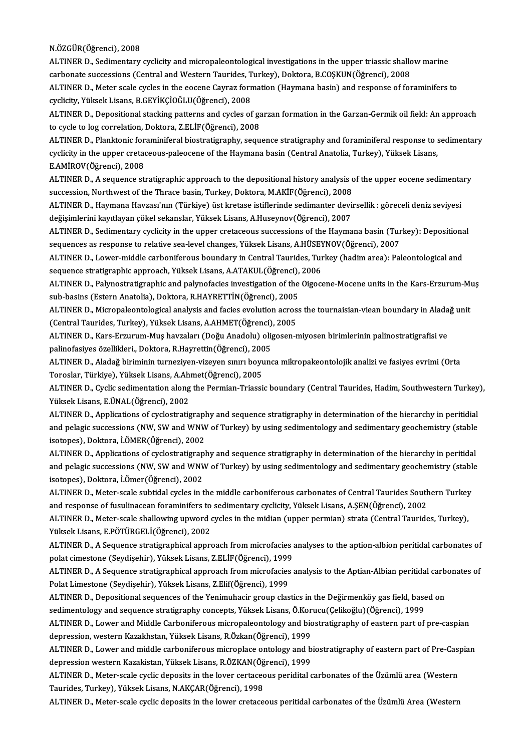#### N.ÖZGÜR(Öğrenci),2008

N.ÖZGÜR(Öğrenci), 2008<br>ALTINER D., Sedimentary cyclicity and micropaleontological investigations in the upper triassic shallow marine<br>sarbonate sussessions (Control and Western Teurides Turkey), Deltons B.COSKUN(Öğrensi), N.ÖZGÜR(Öğrenci), 2008<br>ALTINER D., Sedimentary cyclicity and micropaleontological investigations in the upper triassic shallo<br>carbonate successions (Central and Western Taurides, Turkey), Doktora, B.COŞKUN(Öğrenci), 2008<br>A carbonate successions (Central and Western Taurides, Turkey), Doktora, B.COȘKUN(Öğrenci), 2008<br>ALTINER D., Meter scale cycles in the eocene Cayraz formation (Haymana basin) and response of foraminifers to

carbonate successions (Central and Western Taurides, T<br>ALTINER D., Meter scale cycles in the eocene Cayraz forr<br>cyclicity, Yüksek Lisans, B.GEYİKÇİOĞLU(Öğrenci), 2008<br>ALTINER D. Donositional stasking nattarns and gyalos of

ALTINER D., Depositional stacking patterns and cycles of garzan formation in the Garzan-Germik oil field: An approach<br>to cycle to log correlation, Doktora, Z.ELİF(Öğrenci), 2008 cyclicity, Yüksek Lisans, B.GEYİKÇİOĞLU(Öğrenci), 2008<br>ALTINER D., Depositional stacking patterns and cycles of gate<br>to cycle to log correlation, Doktora, Z.ELİF(Öğrenci), 2008<br>ALTINER D. Planktonis foraminiforal biostrati ALTINER D., Depositional stacking patterns and cycles of garzan formation in the Garzan-Germik oil field: An approach<br>to cycle to log correlation, Doktora, Z.ELİF(Öğrenci), 2008<br>ALTINER D., Planktonic foraminiferal biostra

to cycle to log correlation, Doktora, Z.ELİF(Öğrenci), 2008<br>ALTINER D., Planktonic foraminiferal biostratigraphy, sequence stratigraphy and foraminiferal response to s<br>cyclicity in the upper cretaceous-paleocene of the Hay cyclicity in the upper cretaceous-paleocene of the Haymana basin (Central Anatolia, Turkey), Yüksek Lisans, E.AMİROV(Öğrenci), 2008 cyclicity in the upper cretaceous-paleocene of the Haymana basin (Central Anatolia, Turkey), Yüksek Lisans,<br>E.AMİROV(Öğrenci), 2008<br>ALTINER D., A sequence stratigraphic approach to the depositional history analysis of the

E.AMİROV(Öğrenci), 2008<br>ALTINER D., A sequence stratigraphic approach to the depositional history analysis c<br>succession, Northwest of the Thrace basin, Turkey, Doktora, M.AKİF(Öğrenci), 2008<br>ALTINER D., Haymana Hayraqı'nın ALTINER D., A sequence stratigraphic approach to the depositional history analysis of the upper eocene sedimenta<br>succession, Northwest of the Thrace basin, Turkey, Doktora, M.AKİF(Öğrenci), 2008<br>ALTINER D., Haymana Havzası

succession, Northwest of the Thrace basin, Turkey, Doktora, M.AKİF(Öğrenci), 2008<br>ALTINER D., Haymana Havzası'nın (Türkiye) üst kretase istiflerinde sedimanter devirsellik : göreceli deniz seviyesi<br>değişimlerini kayıtlayan ALTINER D., Haymana Havzası'nın (Türkiye) üst kretase istiflerinde sedimanter devirsellik : göreceli deniz seviyesi<br>değişimlerini kayıtlayan çökel sekanslar, Yüksek Lisans, A.Huseynov(Öğrenci), 2007<br>ALTINER D., Sedimentary

değişimlerini kayıtlayan çökel sekanslar, Yüksek Lisans, A.Huseynov(Öğrenci), 2007<br>ALTINER D., Sedimentary cyclicity in the upper cretaceous successions of the Haymana basin (Tur<br>sequences as response to relative sea-level ALTINER D., Sedimentary cyclicity in the upper cretaceous successions of the Haymana basin (Turkey): Depositiona<br>sequences as response to relative sea-level changes, Yüksek Lisans, A.HÜSEYNOV(Öğrenci), 2007<br>ALTINER D., Low

sequences as response to relative sea-level changes, Yüksek Lisans, A.HÜSEYNOV(Öğrenci), 2007<br>ALTINER D., Lower-middle carboniferous boundary in Central Taurides, Turkey (hadim area): Paleontological and<br>sequence stratigra ALTINER D., Lower-middle carboniferous boundary in Central Taurides, Turkey (hadim area): Paleontological and<br>sequence stratigraphic approach, Yüksek Lisans, A.ATAKUL(Öğrenci), 2006<br>ALTINER D., Palynostratigraphic and paly

sequence stratigraphic approach, Yüksek Lisans, A.ATAKUL(Öğrenci),<br>ALTINER D., Palynostratigraphic and palynofacies investigation of the<br>sub-basins (Estern Anatolia), Doktora, R.HAYRETTİN(Öğrenci), 2005<br>ALTINER D. Misropol ALTINER D., Palynostratigraphic and palynofacies investigation of the Oigocene-Mocene units in the Kars-Erzurum-Mi<br>sub-basins (Estern Anatolia), Doktora, R.HAYRETTİN(Öğrenci), 2005<br>ALTINER D., Micropaleontological analysis

sub-basins (Estern Anatolia), Doktora, R.HAYRETTİN(Öğrenci), 2005<br>ALTINER D., Micropaleontological analysis and facies evolution across the tournaisian-viean boundary in Aladağ unit<br>(Central Taurides, Turkey), Yüksek Lisan ALTINER D., Micropaleontological analysis and facies evolution across the tournaisian-viean boundary in Alada<br>(Central Taurides, Turkey), Yüksek Lisans, A.AHMET(Öğrenci), 2005<br>ALTINER D., Kars-Erzurum-Muş havzaları (Doğu A

(Central Taurides, Turkey), Yüksek Lisans, A.AHMET(Öğrenci)<br>ALTINER D., Kars-Erzurum-Muş havzaları (Doğu Anadolu) oliş<br>palinofasiyes özellikleri., Doktora, R.Hayrettin(Öğrenci), 2005<br>ALTINER D., Aladağ biriminin turnaziyan ALTINER D., Kars-Erzurum-Muş havzaları (Doğu Anadolu) oligosen-miyosen birimlerinin palinostratigrafisi ve<br>palinofasiyes özellikleri., Doktora, R.Hayrettin(Öğrenci), 2005<br>ALTINER D., Aladağ biriminin turneziyen-vizeyen sın

palinofasiyes özellikleri., Doktora, R.Hayrettin(Öğrenci), 2005<br>ALTINER D., Aladağ biriminin turneziyen-vizeyen sınırı boyunca mikropakeontolojik analizi ve fasiyes evrimi (Orta<br>Toroslar, Türkiye), Yüksek Lisans, A.Ahmet(Ö

ALTINER D., Cyclic sedimentation along the Permian-Triassic boundary (Central Taurides, Hadim, Southwestern Turkey), YüksekLisans,E.ÜNAL(Öğrenci),2002 ALTINER D., Cyclic sedimentation along the Permian-Triassic boundary (Central Taurides, Hadim, Southwestern Turkey<br>Yüksek Lisans, E.ÜNAL(Öğrenci), 2002<br>ALTINER D., Applications of cyclostratigraphy and sequence stratigraph

Yüksek Lisans, E.ÜNAL(Öğrenci), 2002<br>ALTINER D., Applications of cyclostratigraphy and sequence stratigraphy in determination of the hierarchy in peritidial<br>and pelagic successions (NW, SW and WNW of Turkey) by using sedim ALTINER D., Applications of cyclostratigrapl<br>and pelagic successions (NW, SW and WNW<br>isotopes), Doktora, İ.ÖMER(Öğrenci), 2002<br>ALTINER D. Applications of gyalostratigrapl and pelagic successions (NW, SW and WNW of Turkey) by using sedimentology and sedimentary geochemistry (stable<br>isotopes), Doktora, İ.ÖMER(Öğrenci), 2002<br>ALTINER D., Applications of cyclostratigraphy and sequence stratigrap

isotopes), Doktora, İ.ÖMER(Öğrenci), 2002<br>ALTINER D., Applications of cyclostratigraphy and sequence stratigraphy in determination of the hierarchy in peritidal<br>and pelagic successions (NW, SW and WNW of Turkey) by using s ALTINER D., Applications of cyclostratigrap<br>and pelagic successions (NW, SW and WNV<br>isotopes), Doktora, İ.Ömer(Öğrenci), 2002<br>ALTINER D. Meter seala subtidal sudas in t and pelagic successions (NW, SW and WNW of Turkey) by using sedimentology and sedimentary geochemistry (stabl<br>isotopes), Doktora, İ.Ömer(Öğrenci), 2002<br>ALTINER D., Meter-scale subtidal cycles in the middle carboniferous ca

isotopes), Doktora, İ.Ömer(Öğrenci), 2002<br>ALTINER D., Meter-scale subtidal cycles in the middle carboniferous carbonates of Central Taurides South<br>and response of fusulinacean foraminifers to sedimentary cyclicity, Yüksek ALTINER D., Meter-scale subtidal cycles in the middle carboniferous carbonates of Central Taurides Southern Turkey<br>and response of fusulinacean foraminifers to sedimentary cyclicity, Yüksek Lisans, A.ŞEN(Öğrenci), 2002<br>ALT

and response of fusulinacean foraminifers to sedimentary cyclicity, Yüksek Lisans, A.ŞEN(Öğrenci), 2002<br>ALTINER D., Meter-scale shallowing upword cycles in the midian (upper permian) strata (Central Taurides, Turkey),<br>Yüks ALTINER D., Meter-scale shallowing upword cycles in the midian (upper permian) strata (Central Taurides, Turkey),<br>Yüksek Lisans, E.PÖTÜRGELİ(Öğrenci), 2002<br>ALTINER D., A Sequence stratigraphical approach from microfacies a

Yüksek Lisans, E.PÖTÜRGELİ(Öğrenci), 2002<br>ALTINER D., A Sequence stratigraphical approach from microfacies :<br>polat cimestone (Seydişehir), Yüksek Lisans, Z.ELİF(Öğrenci), 1999<br>ALTINER D. A Sequence stratigraphical approach ALTINER D., A Sequence stratigraphical approach from microfacies analyses to the aption-albion peritidal carbonates of<br>polat cimestone (Seydişehir), Yüksek Lisans, Z.ELİF(Öğrenci), 1999<br>ALTINER D., A Sequence stratigraphic

polat cimestone (Seydişehir), Yüksek Lisans, Z.ELİF(Öğrenci), 1999<br>ALTINER D., A Sequence stratigraphical approach from microfacies<br>Polat Limestone (Seydişehir), Yüksek Lisans, Z.Elif(Öğrenci), 1999 ALTINER D., A Sequence stratigraphical approach from microfacies analysis to the Aptian-Albian peritidal carb<br>Polat Limestone (Seydişehir), Yüksek Lisans, Z.Elif(Öğrenci), 1999<br>ALTINER D., Depositional sequences of the Yen

ALTINER D., Depositional sequences of the Yenimuhacir group clastics in the Değirmenköy gas field, based on<br>sedimentology and sequence stratigraphy concepts, Yüksek Lisans, Ö.Korucu(Çelikoğlu)(Öğrenci), 1999 ALTINER D., Depositional sequences of the Yenimuhacir group clastics in the Değirmenköy gas field, based on<br>sedimentology and sequence stratigraphy concepts, Yüksek Lisans, Ö.Korucu(Çelikoğlu)(Öğrenci), 1999<br>ALTINER D., Lo

sedimentology and sequence stratigraphy concepts, Yüksek Lisans, Ö.Kor<br>ALTINER D., Lower and Middle Carboniferous micropaleontology and bic<br>depression, western Kazakhstan, Yüksek Lisans, R.Özkan(Öğrenci), 1999<br>ALTINER D. L ALTINER D., Lower and Middle Carboniferous micropaleontology and biostratigraphy of eastern part of pre-caspian<br>depression, western Kazakhstan, Yüksek Lisans, R.Özkan(Öğrenci), 1999<br>ALTINER D., Lower and middle carbonifero

depression, western Kazakhstan, Yüksek Lisans, R.Özkan(Öğrenci), 1999<br>ALTINER D., Lower and middle carboniferous microplace ontology and b<br>depression western Kazakistan, Yüksek Lisans, R.ÖZKAN(Öğrenci), 1999<br>ALTINER D. Met ALTINER D., Lower and middle carboniferous microplace ontology and biostratigraphy of eastern part of Pre-Casy<br>depression western Kazakistan, Yüksek Lisans, R.ÖZKAN(Öğrenci), 1999<br>ALTINER D., Meter-scale cyclic deposits in

depression western Kazakistan, Yüksek Lisans, R.ÖZKAN(Öğrenci), 1999<br>ALTINER D., Meter-scale cyclic deposits in the lover certaceous peridital carbonates of the Üzümlü area (Western<br>Taurides, Turkey), Yüksek Lisans, N.AKÇA

ALTINER D., Meter-scale cyclic deposits in the lower cretaceous peritidal carbonates of the Üzümlü Area (Western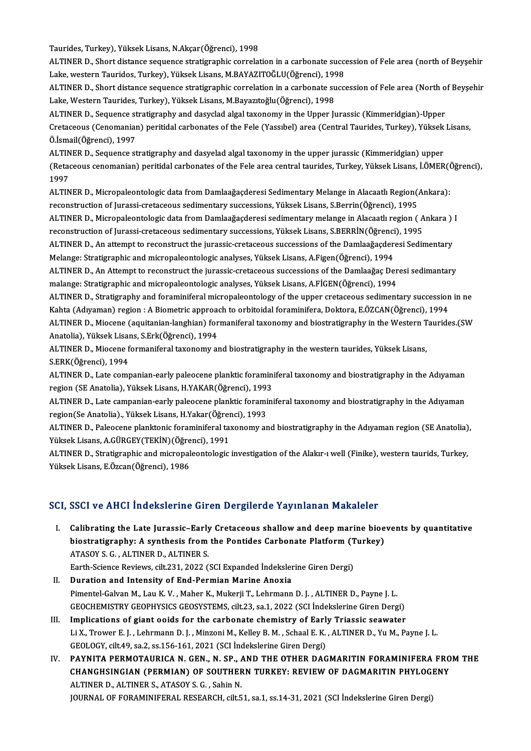Taurides, Turkey), Yüksek Lisans, N.Akçar(Öğrenci), 1998

ALTINER D., Short distance sequence stratigraphic correlation in a carbonate succession of Fele area (north of Beyşehir Taurides, Turkey), Yüksek Lisans, N.Akçar(Öğrenci), 1998<br>ALTINER D., Short distance sequence stratigraphic correlation in a carbonate succe<br>Lake, western Tauridos, Turkey), Yüksek Lisans, M.BAYAZITOĞLU(Öğrenci), 1998<br>ALTIN ALTINER D., Short distance sequence stratigraphic correlation in a carbonate succession of Fele area (north of Beyşehir<br>Lake, western Tauridos, Turkey), Yüksek Lisans, M.BAYAZITOĞLU(Öğrenci), 1998<br>ALTINER D., Short distanc

Lake, western Tauridos, Turkey), Yüksek Lisans, M.BAYAZITOĞLU(Öğrenci), 199<br>ALTINER D., Short distance sequence stratigraphic correlation in a carbonate su<br>Lake, Western Taurides, Turkey), Yüksek Lisans, M.Bayazıtoğlu(Öğre ALTINER D., Short distance sequence stratigraphic correlation in a carbonate succession of Fele area (North o<br>Lake, Western Taurides, Turkey), Yüksek Lisans, M.Bayazıtoğlu(Öğrenci), 1998<br>ALTINER D., Sequence stratigraphy a

Lake, Western Taurides, Turkey), Yüksek Lisans, M.Bayazıtoğlu(Öğrenci), 1998<br>ALTINER D., Sequence stratigraphy and dasyclad algal taxonomy in the Upper Jurassic (Kimmeridgian)-Upper<br>Cretaceous (Cenomanian) peritidal carbon ALTINER D., Sequence st<br>Cretaceous (Cenomaniar<br>Ö.İsmail(Öğrenci), 1997<br>ALTINER D. Sequence st Cretaceous (Cenomanian) peritidal carbonates of the Fele (Yassıbel) area (Central Taurides, Turkey), Yüksek<br>Ö.İsmail(Öğrenci), 1997<br>ALTINER D., Sequence stratigraphy and dasyelad algal taxonomy in the upper jurassic (Kimme

Ö.İsmail(Öğrenci), 1997<br>ALTINER D., Sequence stratigraphy and dasyelad algal taxonomy in the upper jurassic (Kimmeridgian) upper<br>(Retaceous cenomanian) peritidal carbonates of the Fele area central taurides, Turkey, Yüksek ALTINER D., Sequence stratigraphy and dasyelad algal taxonomy in the upper jurassic (Kimmeridgian) upper<br>(Retaceous cenomanian) peritidal carbonates of the Fele area central taurides, Turkey, Yüksek Lisans, İ.ÖMER(Ö<br>1997<br>A (Retaceous cenomanian) peritidal carbonates of the Fele area central taurides, Turkey, Yüksek Lisans, İ.ÖMER(Ö<br>1997<br>ALTINER D., Micropaleontologic data from Damlaağaçderesi Sedimentary Melange in Alacaatlı Region(Ankara):<br>

reconstruction of Jurassi-cretaceous sedimentary successions, Yüksek Lisans, S.Berrin(Öğrenci), 1995 ALTINER D., Micropaleontologic data from Damlaağaçderesi Sedimentary Melange in Alacaatlı Region(Ankara):<br>reconstruction of Jurassi-cretaceous sedimentary successions, Yüksek Lisans, S.Berrin(Öğrenci), 1995<br>ALTINER D., Mic

reconstruction of Jurassi-cretaceous sedimentary successions, Yüksek Lisans, S.Berrin(Öğrenci), 1995<br>ALTINER D., Micropaleontologic data from Damlaağaçderesi sedimentary melange in Alacaatlı region ( A<br>reconstruction of Ju ALTINER D., Micropaleontologic data from Damlaağaçderesi sedimentary melange in Alacaatlı region ( Ankara )<br>reconstruction of Jurassi-cretaceous sedimentary successions, Yüksek Lisans, S.BERRİN(Öğrenci), 1995<br>ALTINER D., A

reconstruction of Jurassi-cretaceous sedimentary successions, Yüksek Lisans, S.BERRİN(Öğrenci), 1995<br>ALTINER D., An attempt to reconstruct the jurassic-cretaceous successions of the Damlaağaçderesi Sedimentary<br>Melange: Str ALTINER D., An attempt to reconstruct the jurassic-cretaceous successions of the Damlaağaçderesi Sedimentary

Melange: Stratigraphic and micropaleontologic analyses, Yüksek Lisans, A.Figen(Öğrenci), 1994<br>ALTINER D., An Attempt to reconstruct the jurassic-cretaceous successions of the Damlaağaç Der<br>malange: Stratigraphic and microp ALTINER D., An Attempt to reconstruct the jurassic-cretaceous successions of the Damlaağaç Deresi sedimantary<br>malange: Stratigraphic and micropaleontologic analyses, Yüksek Lisans, A.FİGEN(Öğrenci), 1994<br>ALTINER D., Strati

malange: Stratigraphic and micropaleontologic analyses, Yüksek Lisans, A.FİGEN(Öğrenci), 1994<br>ALTINER D., Stratigraphy and foraminiferal micropaleontology of the upper cretaceous sedimentary succession<br>Kahta (Adıyaman) reg ALTINER D., Stratigraphy and foraminiferal micropaleontology of the upper cretaceous sedimentary succession in ne<br>Kahta (Adıyaman) region : A Biometric approach to orbitoidal foraminifera, Doktora, E.ÖZCAN(Öğrenci), 1994<br>A Kahta (Adıyaman) region : A Biometric approach<br>ALTINER D., Miocene (aquitanian-langhian) for<br>Anatolia), Yüksek Lisans, S.Erk(Öğrenci), 1994<br>ALTINER D. Miocene formaniforal tavonomy ol

ALTINER D., Miocene formaniferal taxonomy and biostratigraphy in the western taurides, Yüksek Lisans,<br>S.ERK(Öğrenci), 1994 Anatolia), Yüksek Lisai<br>ALTINER D., Miocene f<br>S.ERK(Öğrenci), 1994<br>ALTINER D., Late semi ALTINER D., Miocene formaniferal taxonomy and biostratigraphy in the western taurides, Yüksek Lisans,<br>S.ERK(Öğrenci), 1994<br>ALTINER D., Late companian-early paleocene planktic foraminiferal taxonomy and biostratigraphy in t

S.ERK(Öğrenci), 1994<br>ALTINER D., Late companian-early paleocene planktic foramin:<br>region (SE Anatolia), Yüksek Lisans, H.YAKAR(Öğrenci), 1993<br>ALTINER D. Late campanian early paleocene planktic foramini ALTINER D., Late companian-early paleocene planktic foraminiferal taxonomy and biostratigraphy in the Adıyaman<br>region (SE Anatolia), Yüksek Lisans, H.YAKAR(Öğrenci), 1993<br>ALTINER D., Late campanian-early paleocene planktic

region (SE Anatolia), Yüksek Lisans, H.YAKAR(Öğrenci), 1993<br>ALTINER D., Late campanian-early paleocene planktic forami<br>region(Se Anatolia)., Yüksek Lisans, H.Yakar(Öğrenci), 1993<br>ALTINER D. Paleosene planktonis foraminifor ALTINER D., Late campanian-early paleocene planktic foraminiferal taxonomy and biostratigraphy in the Adıyaman<br>region(Se Anatolia)., Yüksek Lisans, H.Yakar(Öğrenci), 1993<br>ALTINER D., Paleocene planktonic foraminiferal taxo

region(Se Anatolia)., Yüksek Lisans, H.Yakar(Öğren<br>ALTINER D., Paleocene planktonic foraminiferal ta:<br>Yüksek Lisans, A.GÜRGEY(TEKİN)(Öğrenci), 1991<br>ALTINER D., Stratisranbis and mismanalaantalasis ALTINER D., Paleocene planktonic foraminiferal taxonomy and biostratigraphy in the Adıyaman region (SE Anatolia)<br>Yüksek Lisans, A.GÜRGEY(TEKİN)(Öğrenci), 1991<br>ALTINER D., Stratigraphic and micropaleontologic investigation

Yüksek Lisans, A.GÜRGEY(TEKİN)(Öğre<br>ALTINER D., Stratigraphic and micropal<br>Yüksek Lisans, E.Özcan(Öğrenci), 1986

# Yüksek Lisans, E.Özcan(Öğrenci), 1986<br>SCI, SSCI ve AHCI İndekslerine Giren Dergilerde Yayınlanan Makaleler

- I. Calibrating the Late Jurassic-Early Cretaceous shallow and deep marine bioevents by quantitative biostrating the Late Jurassic-Early Cretaceous shallow and deep marine bioe<br>biostratigraphy: A synthesis from the Pontides Carbonate Platform (Turkey) Calibrating the Late Jurassic–Early<br>biostratigraphy: A synthesis from<br>ATASOY S. G., ALTINER D., ALTINER S.<br>Farth Sciance Boviews, silt 221, 2022 ( biostratigraphy: A synthesis from the Pontides Carbonate Platform (T<br>ATASOY S. G. , ALTINER D., ALTINER S.<br>Earth-Science Reviews, cilt.231, 2022 (SCI Expanded İndekslerine Giren Dergi)<br>Duration and Intensity of End Bormian ATASOY S. G. , ALTINER D., ALTINER S.<br>Earth-Science Reviews, cilt.231, 2022 (SCI Expanded Indekslerine Giren Dergi)<br>II. Duration and Intensity of End-Permian Marine Anoxia
- Pimentel-Galvan M., Lau K.V., Maher K., Mukerji T., Lehrmann D. J., ALTINER D., Payne J. L. GEOCHEMISTRYGEOPHYSICSGEOSYSTEMS, cilt.23, sa.1,2022 (SCI İndekslerineGirenDergi) Pimentel-Galvan M., Lau K. V., Maher K., Mukerji T., Lehrmann D. J., ALTINER D., Payne J. L.<br>GEOCHEMISTRY GEOPHYSICS GEOSYSTEMS, cilt.23, sa.1, 2022 (SCI Indekslerine Giren Dergi)<br>III. Implications of giant ooids for the c
- Li X., Trower E. J. , Lehrmann D. J. , Minzoni M., Kelley B. M. , Schaal E. K. , ALTINER D., Yu M., Payne J. L.<br>GEOLOGY, cilt.49, sa.2, ss.156-161, 2021 (SCI İndekslerine Giren Dergi) Implications of giant ooids for the carbonate chemistry of Earl Li X., Trower E. J. , Lehrmann D. J. , Minzoni M., Kelley B. M. , Schaal E. K.<br>GEOLOGY, cilt.49, sa.2, ss.156-161, 2021 (SCI Indekslerine Giren Dergi)<br>RAVNITA Li X., Trower E. J. , Lehrmann D. J. , Minzoni M., Kelley B. M. , Schaal E. K. , ALTINER D., Yu M., Payne J. L.<br>GEOLOGY, cilt.49, sa.2, ss.156-161, 2021 (SCI İndekslerine Giren Dergi)<br>IV. PAYNITA PERMOTAURICA N. GEN., N. S
- GEOLOGY, cilt.49, sa.2, ss.156-161, 2021 (SCI İndekslerine Giren Dergi)<br>PAYNITA PERMOTAURICA N. GEN., N. SP., AND THE OTHER DAGMARITIN FORAMINIFERA FRO<br>CHANGHSINGIAN (PERMIAN) OF SOUTHERN TURKEY: REVIEW OF DAGMARITIN PHYLO PAYNITA PERMOTAURICA N. GEN., N. SP., A<br>CHANGHSINGIAN (PERMIAN) OF SOUTHER<br>ALTINER D., ALTINER S., ATASOY S. G. , Sahin N.<br>JOUPNAL OF FORAMINIEERAL PESEARCH sil E CHANGHSINGIAN (PERMIAN) OF SOUTHERN TURKEY: REVIEW OF DAGMARITIN PHYLOGENY<br>ALTINER D., ALTINER S., ATASOY S. G. , Sahin N.<br>JOURNAL OF FORAMINIFERAL RESEARCH, cilt.51, sa.1, ss.14-31, 2021 (SCI İndekslerine Giren Dergi)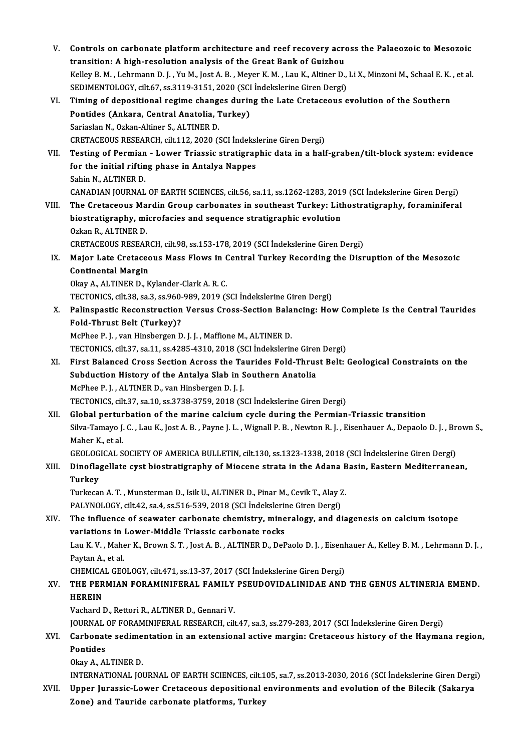| V.    | Controls on carbonate platform architecture and reef recovery across the Palaeozoic to Mesozoic                           |
|-------|---------------------------------------------------------------------------------------------------------------------------|
|       | transition: A high-resolution analysis of the Great Bank of Guizhou                                                       |
|       | Kelley B. M., Lehrmann D. J., Yu M., Jost A. B., Meyer K. M., Lau K., Altiner D., Li X., Minzoni M., Schaal E. K., et al. |
|       | SEDIMENTOLOGY, cilt.67, ss.3119-3151, 2020 (SCI İndekslerine Giren Dergi)                                                 |
| VI.   | Timing of depositional regime changes during the Late Cretaceous evolution of the Southern                                |
|       | Pontides (Ankara, Central Anatolia, Turkey)                                                                               |
|       | Sariaslan N., Ozkan-Altiner S., ALTINER D.                                                                                |
|       | CRETACEOUS RESEARCH, cilt.112, 2020 (SCI İndekslerine Giren Dergi)                                                        |
| VII.  | Testing of Permian - Lower Triassic stratigraphic data in a half-graben/tilt-block system: evidence                       |
|       | for the initial rifting phase in Antalya Nappes                                                                           |
|       | Sahin N, ALTINER D.                                                                                                       |
|       | CANADIAN JOURNAL OF EARTH SCIENCES, cilt.56, sa.11, ss.1262-1283, 2019 (SCI Indekslerine Giren Dergi)                     |
| VIII. | The Cretaceous Mardin Group carbonates in southeast Turkey: Lithostratigraphy, foraminiferal                              |
|       | biostratigraphy, microfacies and sequence stratigraphic evolution                                                         |
|       | Ozkan R., ALTINER D.                                                                                                      |
|       | CRETACEOUS RESEARCH, cilt.98, ss.153-178, 2019 (SCI Indekslerine Giren Dergi)                                             |
| IX.   | Major Late Cretaceous Mass Flows in Central Turkey Recording the Disruption of the Mesozoic                               |
|       | <b>Continental Margin</b>                                                                                                 |
|       | Okay A., ALTINER D., Kylander-Clark A.R.C.                                                                                |
|       | TECTONICS, cilt.38, sa.3, ss.960-989, 2019 (SCI Indekslerine Giren Dergi)                                                 |
| Х.    | Palinspastic Reconstruction Versus Cross-Section Balancing: How Complete Is the Central Taurides                          |
|       | <b>Fold-Thrust Belt (Turkey)?</b>                                                                                         |
|       | McPhee P.J., van Hinsbergen D.J.J., Maffione M., ALTINER D.                                                               |
|       | TECTONICS, cilt.37, sa.11, ss.4285-4310, 2018 (SCI Indekslerine Giren Dergi)                                              |
| XI.   | First Balanced Cross Section Across the Taurides Fold-Thrust Belt: Geological Constraints on the                          |
|       | Subduction History of the Antalya Slab in Southern Anatolia                                                               |
|       | McPhee P.J., ALTINER D., van Hinsbergen D.J.J.                                                                            |
|       | TECTONICS, cilt.37, sa.10, ss.3738-3759, 2018 (SCI İndekslerine Giren Dergi)                                              |
| XII.  | Global perturbation of the marine calcium cycle during the Permian-Triassic transition                                    |
|       | Silva-Tamayo J. C., Lau K., Jost A. B., Payne J. L., Wignall P. B., Newton R. J., Eisenhauer A., Depaolo D. J., Brown S., |
|       | Maher K, et al.                                                                                                           |
|       | GEOLOGICAL SOCIETY OF AMERICA BULLETIN, cilt.130, ss.1323-1338, 2018 (SCI İndekslerine Giren Dergi)                       |
| XIII. | Dinoflagellate cyst biostratigraphy of Miocene strata in the Adana Basin, Eastern Mediterranean,                          |
|       | <b>Turkey</b>                                                                                                             |
|       | Turkecan A. T., Munsterman D., Isik U., ALTINER D., Pinar M., Cevik T., Alay Z.                                           |
|       | PALYNOLOGY, cilt.42, sa.4, ss.516-539, 2018 (SCI Indekslerine Giren Dergi)                                                |
| XIV.  | The influence of seawater carbonate chemistry, mineralogy, and diagenesis on calcium isotope                              |
|       | variations in Lower-Middle Triassic carbonate rocks                                                                       |
|       | Lau K.V., Maher K., Brown S.T., Jost A.B., ALTINER D., DePaolo D.J., Eisenhauer A., Kelley B.M., Lehrmann D.J.,           |
|       | Paytan A., et al.                                                                                                         |
|       | CHEMICAL GEOLOGY, cilt 471, ss.13-37, 2017 (SCI İndekslerine Giren Dergi)                                                 |
| XV.   | THE PERMIAN FORAMINIFERAL FAMILY PSEUDOVIDALINIDAE AND THE GENUS ALTINERIA EMEND.                                         |
|       | <b>HEREIN</b>                                                                                                             |
|       | Vachard D., Rettori R., ALTINER D., Gennari V.                                                                            |
|       | JOURNAL OF FORAMINIFERAL RESEARCH, cilt.47, sa.3, ss.279-283, 2017 (SCI İndekslerine Giren Dergi)                         |
| XVI.  | Carbonate sedimentation in an extensional active margin: Cretaceous history of the Haymana region,                        |
|       | Pontides                                                                                                                  |
|       | Okay A, ALTINER D.                                                                                                        |
|       | INTERNATIONAL JOURNAL OF EARTH SCIENCES, cilt.105, sa.7, ss.2013-2030, 2016 (SCI İndekslerine Giren Dergi)                |
| XVII. | Upper Jurassic-Lower Cretaceous depositional environments and evolution of the Bilecik (Sakarya                           |
|       | Zone) and Tauride carbonate platforms, Turkey                                                                             |
|       |                                                                                                                           |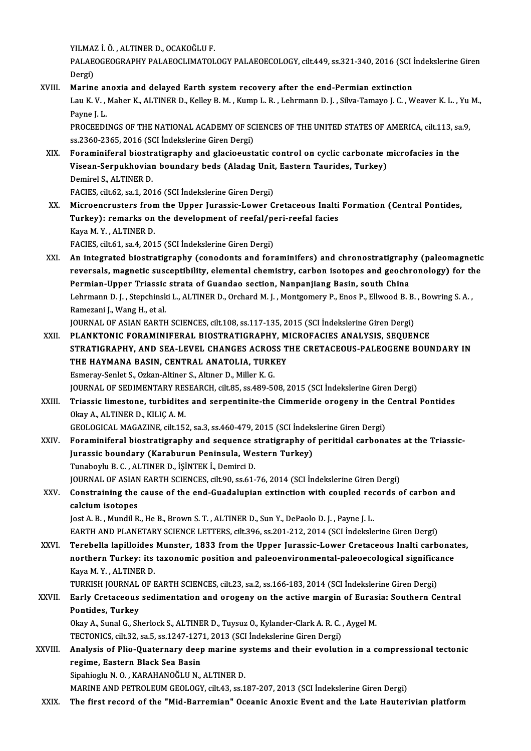YILMAZ İ.Ö. ,ALTINERD.,OCAKOĞLUF.

YILMAZ İ. Ö. , ALTINER D., OCAKOĞLU F.<br>PALAEOGEOGRAPHY PALAEOCLIMATOLOGY PALAEOECOLOGY, cilt.449, ss.321-340, 2016 (SCI İndekslerine Giren YILMA<br>PALAE<br>Dergi)<br>Marina PALAEOGEOGRAPHY PALAEOCLIMATOLOGY PALAEOECOLOGY, cilt.449, ss.321-340, 2016 (SCI i<br>Dergi)<br>XVIII. Marine anoxia and delayed Earth system recovery after the end-Permian extinction<br>Law K.V. Mabar K. ALTINER D. Kellov B.M. Kum

Dergi)<br>Marine anoxia and delayed Earth system recovery after the end-Permian extinction<br>Lau K.V. , Maher K., ALTINER D., Kelley B. M. , Kump L. R. , Lehrmann D. J. , Silva-Tamayo J. C. , Weaver K. L. , Yu M.,<br>Pavne I. L. Marine al<br>Lau K. V. ,<br>Payne J. L.<br>PROCEEDI Lau K. V. , Maher K., ALTINER D., Kelley B. M. , Kump L. R. , Lehrmann D. J. , Silva-Tamayo J. C. , Weaver K. L. , Yu<br>Payne J. L.<br>PROCEEDINGS OF THE NATIONAL ACADEMY OF SCIENCES OF THE UNITED STATES OF AMERICA, cilt.113, s

Payne J. L.<br>PROCEEDINGS OF THE NATIONAL ACADEMY OF SC<br>ss.2360-2365, 2016 (SCI İndekslerine Giren Dergi)<br>Foraminiforal biostratisranhy and slasjooust PROCEEDINGS OF THE NATIONAL ACADEMY OF SCIENCES OF THE UNITED STATES OF AMERICA, cilt.113, sa<br>ss.2360-2365, 2016 (SCI Indekslerine Giren Dergi)<br>XIX. Foraminiferal biostratigraphy and glacioeustatic control on cyclic carbon

ss.2360-2365, 2016 (SCI İndekslerine Giren Dergi)<br>Foraminiferal biostratigraphy and glacioeustatic control on cyclic carbonate r<br>Visean-Serpukhovian boundary beds (Aladag Unit, Eastern Taurides, Turkey)<br>Domirel S. ALTINER Foraminiferal biostr<br>Visean-Serpukhovian<br>Demirel S., ALTINER D.<br>FACIES. silt 62, ss 1, 20: Visean-Serpukhovian boundary beds (Aladag Unit,<br>Demirel S., ALTINER D.<br>FACIES, cilt.62, sa.1, 2016 (SCI İndekslerine Giren Dergi)<br>Misroenarustare fram the Unner Jurassia Lawer C Demirel S., ALTINER D.<br>FACIES, cilt.62, sa.1, 2016 (SCI İndekslerine Giren Dergi)<br>XX. Microencrusters from the Upper Jurassic-Lower Cretaceous Inalti Formation (Central Pontides,

FACIES, cilt.62, sa.1, 2016 (SCI İndekslerine Giren Dergi)<br>Microencrusters from the Upper Jurassic-Lower Cretaceous Inalti<br>Turkey): remarks on the development of reefal/peri-reefal facies<br>Kava M. V. - ALTINER D Microencrusters from<br>Turkey): remarks on<br>Kaya M.Y., ALTINER D.<br>FACIES silt 61, sa 4, 201 Turkey): remarks on the development of reefal/pe<br>Kaya M. Y. , ALTINER D.<br>FACIES, cilt.61, sa.4, 2015 (SCI İndekslerine Giren Dergi)<br>An integrated biostratisranby (sanodanta and for

Kaya M. Y. , ALTINER D.<br>FACIES, cilt.61, sa.4, 2015 (SCI Indekslerine Giren Dergi)<br>XXI. An integrated biostratigraphy (conodonts and foraminifers) and chronostratigraphy (paleomagnetic<br>reversels magnetic susceptibilit FACIES, cilt.61, sa.4, 2015 (SCI İndekslerine Giren Dergi)<br>An integrated biostratigraphy (conodonts and foraminifers) and chronostratigraphy (paleomagnetic<br>reversals, magnetic susceptibility, elemental chemistry, carbon is reversals, magnetic susceptibility, elemental chemistry, carbon isotopes and geochronology) for the<br>Permian-Upper Triassic strata of Guandao section, Nanpanjiang Basin, south China reversals, magnetic susceptibility, elemental chemistry, carbon isotopes and geochronology) for th<br>Permian-Upper Triassic strata of Guandao section, Nanpanjiang Basin, south China<br>Lehrmann D. J., Stepchinski L., ALTINER D. Per<mark>mian-Upper Triassic</mark><br>Lehrmann D. J. , Stepchinsk<br>Ramezani J., Wang H., et al.<br>JOUPNAL OF ASIAN FAPTH Lehrmann D. J. , Stepchinski L., ALTINER D., Orchard M. J. , Montgomery P., Enos P., Ellwood B. B.<br>Ramezani J., Wang H., et al.<br>JOURNAL OF ASIAN EARTH SCIENCES, cilt.108, ss.117-135, 2015 (SCI İndekslerine Giren Dergi)<br>PLA

Ramezani J., Wang H., et al.<br>JOURNAL OF ASIAN EARTH SCIENCES, cilt.108, ss.117-135, 2015 (SCI İndekslerine Giren Dergi)<br>XXII. PLANKTONIC FORAMINIFERAL BIOSTRATIGRAPHY, MICROFACIES ANALYSIS, SEQUENCE<br>STRATICRARUY, AND SEA I JOURNAL OF ASIAN EARTH SCIENCES, cilt.108, ss.117-135, 2015 (SCI Indekslerine Giren Dergi)<br>PLANKTONIC FORAMINIFERAL BIOSTRATIGRAPHY, MICROFACIES ANALYSIS, SEQUENCE<br>STRATIGRAPHY, AND SEA-LEVEL CHANGES ACROSS THE CRETACEOUS-PLANKTONIC FORAMINIFERAL BIOSTRATIGRAPHY, M<br>STRATIGRAPHY, AND SEA-LEVEL CHANGES ACROSS T<br>THE HAYMANA BASIN, CENTRAL ANATOLIA, TURKEY<br>Femeray Seplet S. Orkan Altiner S. Altner D. Miller K. C STRATIGRAPHY, AND SEA-LEVEL CHANGES ACROS<br>THE HAYMANA BASIN, CENTRAL ANATOLIA, TURK<br>Esmeray-Senlet S., Ozkan-Altiner S., Altıner D., Miller K. G.<br>JOUPMAL OF SEDIMENTARY RESEARCH, GİL 85, 480 EG THE HAYMANA BASIN, CENTRAL ANATOLIA, TURKEY<br>Esmeray-Senlet S., Ozkan-Altiner S., Altıner D., Miller K. G.<br>JOURNAL OF SEDIMENTARY RESEARCH, cilt.85, ss.489-508, 2015 (SCI İndekslerine Giren Dergi)

Esmeray-Senlet S., Ozkan-Altiner S., Altiner D., Miller K. G.<br>JOURNAL OF SEDIMENTARY RESEARCH, cilt.85, ss.489-508, 2015 (SCI İndekslerine Giren Dergi)<br>XXIII. Triassic limestone, turbidites and serpentinite-the Cimmeride o OkayA.,ALTINERD.,KILIÇA.M. Triassic limestone, turbidites and serpentinite-the Cimmeride orogeny in the<br>Okay A., ALTINER D., KILIÇ A. M.<br>GEOLOGICAL MAGAZINE, cilt.152, sa.3, ss.460-479, 2015 (SCI İndekslerine Giren Dergi)<br>Foreminiferal biostratistan

GEOLOGICAL MAGAZINE, cilt.152, sa.3, ss.460-479, 2015 (SCI İndekslerine Giren Dergi)

XXIV. Foraminiferal biostratigraphy and sequence stratigraphy of peritidal carbonates at the Triassic-TunaboyluB.C. ,ALTINERD., İŞİNTEKİ.,DemirciD. Jurassic boundary (Karaburun Peninsula, Western Turkey)<br>Tunaboylu B.C., ALTINER D., İŞİNTEK İ., Demirci D.<br>JOURNAL OF ASIAN EARTH SCIENCES, cilt.90, ss.61-76, 2014 (SCI İndekslerine Giren Dergi)<br>Constraining the cause of t

## XXV. Constraining the cause of the end-Guadalupian extinction with coupled records of carbon and JOURNAL OF ASIAN<br>Constraining the<br>calcium isotopes calcium isotopes<br>Jost A. B. , Mundil R., He B., Brown S. T. , ALTINER D., Sun Y., DePaolo D. J. , Payne J. L.<br>EARTH AND PLANETARY SCIENCE LETTERS, cilt.396, ss.201-212, 2014 (SCI İndekslerine Giren Dergi)<br>Terebella lapille

Jost A.B., Mundil R., He B., Brown S.T., ALTINER D., Sun Y., DePaolo D.J., Payne J.L.

Jost A. B. , Mundil R., He B., Brown S. T. , ALTINER D., Sun Y., DePaolo D. J. , Payne J. L.<br>EARTH AND PLANETARY SCIENCE LETTERS, cilt.396, ss.201-212, 2014 (SCI Indekslerine Giren Dergi)<br>XXVI. Terebella lapilloides Munste EARTH AND PLANETARY SCIENCE LETTERS, cilt.396, ss.201-212, 2014 (SCI İndekslerine Giren Dergi)<br>Terebella lapilloides Munster, 1833 from the Upper Jurassic-Lower Cretaceous Inalti carbonat<br>northern Turkey: its taxonomic pos Terebella lapilloides<br>northern Turkey: its<br>Kaya M.Y., ALTINER D.<br>TURKISH JOURNAL OF L northern Turkey: its taxonomic position and paleoenvironmental-paleoecological significa<br>Kaya M. Y., ALTINER D.<br>TURKISH JOURNAL OF EARTH SCIENCES, cilt.23, sa.2, ss.166-183, 2014 (SCI İndekslerine Giren Dergi)<br>Farly Cratag

Kaya M. Y. , ALTINER D.<br>TURKISH JOURNAL OF EARTH SCIENCES, cilt.23, sa.2, ss.166-183, 2014 (SCI İndekslerine Giren Dergi)<br>XXVII. Early Cretaceous sedimentation and orogeny on the active margin of Eurasia: Southern Cent TURKISH JOURNAL<br>Early Cretaceous<br>Pontides, Turkey<br>Olmy A. Sunal C. Sh Early Cretaceous sedimentation and orogeny on the active margin of Euras<br>Pontides, Turkey<br>Okay A., Sunal G., Sherlock S., ALTINER D., Tuysuz O., Kylander-Clark A. R. C. , Aygel M.<br>TECTONICS si<sup>lt 22</sup>, 39 5, 38,1247,1271,20 Pontides, Turkey<br>Okay A., Sunal G., Sherlock S., ALTINER D., Tuysuz O., Kylander-Clark A. R. C. , Aygel M.

Okay A., Sunal G., Sherlock S., ALTINER D., Tuysuz O., Kylander-Clark A. R. C. , Aygel M.<br>TECTONICS, cilt.32, sa.5, ss.1247-1271, 2013 (SCI Indekslerine Giren Dergi)<br>XXVIII. Analysis of Plio-Quaternary deep marine systems TECTONICS, cilt.32, sa.5, ss.1247-1271, 2013 (SCI Indekslerine Giren Dergi)<br>Analysis of Plio-Quaternary deep marine systems and their evoluti<br>regime, Eastern Black Sea Basin<br>Sipahioglu N. O., KARAHANOĞLU N., ALTINER D. Analysis of Plio-Quaternary deep marine sy<br>regime, Eastern Black Sea Basin<br>Sipahioglu N.O., KARAHANOĞLU N., ALTINER D.<br>MARINE AND BETROLEUM CEOLOCY silt42.884

MARINE AND PETROLEUM GEOLOGY, cilt.43, ss.187-207, 2013 (SCI İndekslerine Giren Dergi)

XXIX. The first record of the "Mid-Barremian" Oceanic Anoxic Event and the Late Hauterivian platform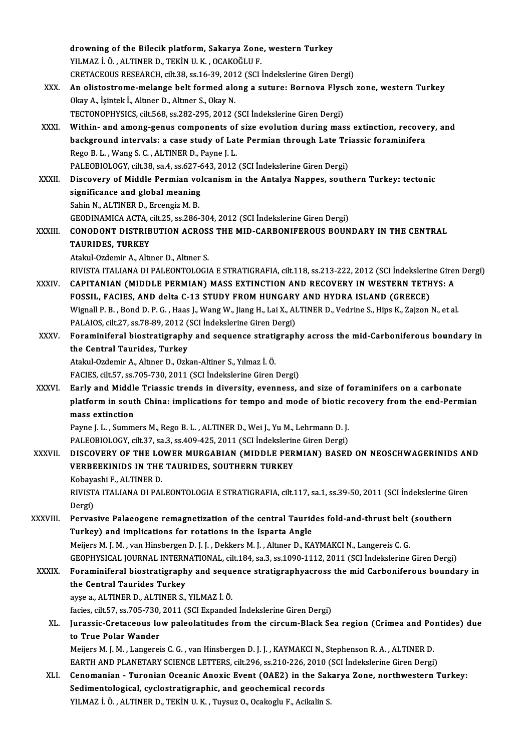|              | drowning of the Bilecik platform, Sakarya Zone, western Turkey                                                       |
|--------------|----------------------------------------------------------------------------------------------------------------------|
|              | YILMAZ İ. Ö., ALTINER D., TEKİN U. K., OCAKOĞLU F.                                                                   |
|              | CRETACEOUS RESEARCH, cilt.38, ss.16-39, 2012 (SCI İndekslerine Giren Dergi)                                          |
| XXX.         | An olistostrome-melange belt formed along a suture: Bornova Flysch zone, western Turkey                              |
|              | Okay A., İşintek İ., Altıner D., Altıner S., Okay N.                                                                 |
|              | TECTONOPHYSICS, cilt.568, ss.282-295, 2012 (SCI İndekslerine Giren Dergi)                                            |
| XXXI.        | Within- and among-genus components of size evolution during mass extinction, recovery, and                           |
|              | background intervals: a case study of Late Permian through Late Triassic foraminifera                                |
|              | Rego B. L., Wang S. C., ALTINER D., Payne J. L.                                                                      |
|              | PALEOBIOLOGY, cilt.38, sa.4, ss.627-643, 2012 (SCI İndekslerine Giren Dergi)                                         |
| XXXII.       | Discovery of Middle Permian volcanism in the Antalya Nappes, southern Turkey: tectonic                               |
|              | significance and global meaning                                                                                      |
|              | Sahin N., ALTINER D., Ercengiz M. B.                                                                                 |
|              | GEODINAMICA ACTA, cilt.25, ss.286-304, 2012 (SCI Indekslerine Giren Dergi)                                           |
| XXXIII.      | CONODONT DISTRIBUTION ACROSS THE MID-CARBONIFEROUS BOUNDARY IN THE CENTRAL                                           |
|              | <b>TAURIDES, TURKEY</b>                                                                                              |
|              | Atakul-Ozdemir A., Altıner D., Altıner S.                                                                            |
|              | RIVISTA ITALIANA DI PALEONTOLOGIA E STRATIGRAFIA, cilt.118, ss.213-222, 2012 (SCI İndekslerine Giren Dergi)          |
| XXXIV.       | CAPITANIAN (MIDDLE PERMIAN) MASS EXTINCTION AND RECOVERY IN WESTERN TETHYS: A                                        |
|              | FOSSIL, FACIES, AND delta C-13 STUDY FROM HUNGARY AND HYDRA ISLAND (GREECE)                                          |
|              | Wignall P. B., Bond D. P. G., Haas J., Wang W., Jiang H., Lai X., ALTINER D., Vedrine S., Hips K., Zajzon N., et al. |
|              | PALAIOS, cilt.27, ss.78-89, 2012 (SCI İndekslerine Giren Dergi)                                                      |
| <b>XXXV</b>  | Foraminiferal biostratigraphy and sequence stratigraphy across the mid-Carboniferous boundary in                     |
|              | the Central Taurides, Turkey                                                                                         |
|              | Atakul-Ozdemir A., Altıner D., Ozkan-Altiner S., Yılmaz İ. Ö.                                                        |
|              | FACIES, cilt 57, ss 705-730, 2011 (SCI İndekslerine Giren Dergi)                                                     |
| <b>XXXVI</b> | Early and Middle Triassic trends in diversity, evenness, and size of foraminifers on a carbonate                     |
|              | platform in south China: implications for tempo and mode of biotic recovery from the end-Permian<br>mass extinction  |
|              | Payne J. L., Summers M., Rego B. L., ALTINER D., Wei J., Yu M., Lehrmann D. J.                                       |
|              | PALEOBIOLOGY, cilt.37, sa.3, ss.409-425, 2011 (SCI Indekslerine Giren Dergi)                                         |
| XXXVII.      | DISCOVERY OF THE LOWER MURGABIAN (MIDDLE PERMIAN) BASED ON NEOSCHWAGERINIDS AND                                      |
|              | VERBEEKINIDS IN THE TAURIDES, SOUTHERN TURKEY                                                                        |
|              | Kobayashi F., ALTINER D.                                                                                             |
|              | RIVISTA ITALIANA DI PALEONTOLOGIA E STRATIGRAFIA, cilt.117, sa.1, ss.39-50, 2011 (SCI İndekslerine Giren             |
|              | Dergi)                                                                                                               |
| XXXVIII.     | Pervasive Palaeogene remagnetization of the central Taurides fold-and-thrust belt (southern                          |
|              | Turkey) and implications for rotations in the Isparta Angle                                                          |
|              | Meijers M. J. M., van Hinsbergen D. J. J., Dekkers M. J., Altıner D., KAYMAKCI N., Langereis C. G.                   |
|              | GEOPHYSICAL JOURNAL INTERNATIONAL, cilt 184, sa.3, ss.1090-1112, 2011 (SCI İndekslerine Giren Dergi)                 |
| <b>XXXIX</b> | Foraminiferal biostratigraphy and sequence stratigraphyacross the mid Carboniferous boundary in                      |
|              | the Central Taurides Turkey                                                                                          |
|              | ayşe a., ALTINER D., ALTINER S., YILMAZ İ. Ö.                                                                        |
|              | facies, cilt.57, ss.705-730, 2011 (SCI Expanded Indekslerine Giren Dergi)                                            |
| XL.          | Jurassic-Cretaceous low paleolatitudes from the circum-Black Sea region (Crimea and Pontides) due                    |
|              | to True Polar Wander                                                                                                 |
|              | Meijers M. J. M., Langereis C. G., van Hinsbergen D. J. J., KAYMAKCI N., Stephenson R. A., ALTINER D.                |
|              | EARTH AND PLANETARY SCIENCE LETTERS, cilt.296, ss.210-226, 2010 (SCI İndekslerine Giren Dergi)                       |
| XLI.         | Cenomanian - Turonian Oceanic Anoxic Event (OAE2) in the Sakarya Zone, northwestern Turkey:                          |
|              | Sedimentological, cyclostratigraphic, and geochemical records                                                        |
|              | YILMAZ İ. Ö., ALTINER D., TEKİN U. K., Tuysuz O., Ocakoglu F., Acikalin S.                                           |
|              |                                                                                                                      |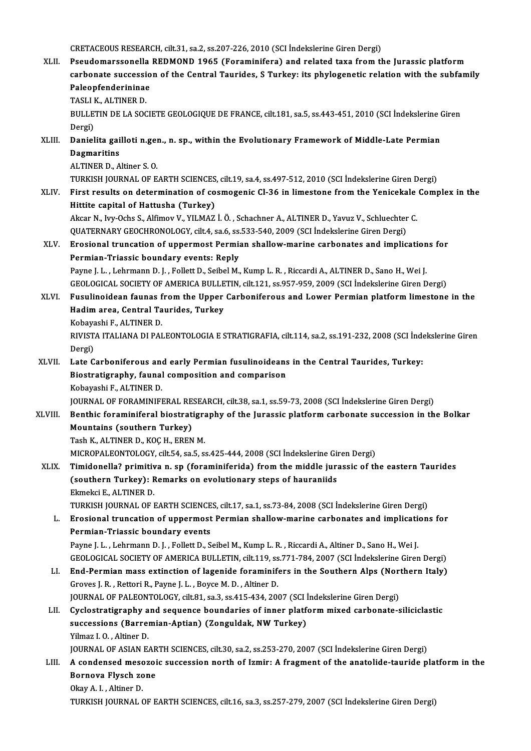CRETACEOUSRESEARCH, cilt.31, sa.2, ss.207-226,2010 (SCI İndekslerineGirenDergi)

CRETACEOUS RESEARCH, cilt.31, sa.2, ss.207-226, 2010 (SCI İndekslerine Giren Dergi)<br>XLII. Beudomarssonella REDMOND 1965 (Foraminifera) and related taxa from the Jurassic platform CRETACEOUS RESEARCH, cilt.31, sa.2, ss.207-226, 2010 (SCI İndekslerine Giren Dergi)<br>Pseudomarssonella REDMOND 1965 (Foraminifera) and related taxa from the Jurassic platform<br>carbonate succession of the Central Taurides, S Pseudomarssonella<br>carbonate successio<br>Paleopfenderininae<br>TASLLK, ALTINER D carbonate succession of the Central Taurides, S Turkey: its phylogenetic relation with the subfamily Paleopfenderininae<br>Paleopfenderininae<br>TASLI K., ALTINER D. Paleopfenderininae<br>TASLI K., ALTINER D.<br>BULLETIN DE LA SOCIETE GEOLOGIQUE DE FRANCE, cilt.181, sa.5, ss.443-451, 2010 (SCI İndekslerine Giren<br>Persi) TASLI<br>BULLE<br>Dergi)<br>Deniel BULLETIN DE LA SOCIETE GEOLOGIQUE DE FRANCE, cilt.181, sa.5, ss.443-451, 2010 (SCI İndekslerine (<br>Dergi)<br>XLIII. Danielita gailloti n.gen., n. sp., within the Evolutionary Framework of Middle-Late Permian Dergi)<br><mark>Danielita gai</mark><br>Dagmaritins<br>ALTINER D. A Danielita gailloti n.ger<br>Dagmaritins<br>ALTINER D., Altiner S. O.<br>TURKISH JOURNAL OF F <mark>Dagmaritins</mark><br>ALTINER D., Altiner S. O.<br>TURKISH JOURNAL OF EARTH SCIENCES, cilt.19, sa.4, ss.497-512, 2010 (SCI İndekslerine Giren Dergi)<br>First results on determination of sesmoganis Cl 36 in limestane from the Yonisekele ALTINER D., Altiner S. O.<br>TURKISH JOURNAL OF EARTH SCIENCES, cilt.19, sa.4, ss.497-512, 2010 (SCI Indekslerine Giren Dergi)<br>XLIV. First results on determination of cosmogenic Cl-36 in limestone from the Yenicekale Complex TURKISH JOURNAL OF EARTH SCIENCES<br>First results on determination of co<br>Hittite capital of Hattusha (Turkey) First results on determination of cosmogenic Cl-36 in limestone from the Yenicekale<br>Hittite capital of Hattusha (Turkey)<br>Akcar N., Ivy-Ochs S., Alfimov V., YILMAZ İ.Ö. , Schachner A., ALTINER D., Yavuz V., Schluechter C.<br>Q Hittite capital of Hattusha (Turkey)<br>Akcar N., Ivy-Ochs S., Alfimov V., YILMAZ İ. Ö. , Schachner A., ALTINER D., Yavuz V., Schluechter<br>QUATERNARY GEOCHRONOLOGY, cilt.4, sa.6, ss.533-540, 2009 (SCI İndekslerine Giren Dergi) Akcar N., Ivy-Ochs S., Alfimov V., YILMAZ İ. Ö. , Schachner A., ALTINER D., Yavuz V., Schluechter C.<br>QUATERNARY GEOCHRONOLOGY, cilt.4, sa.6, ss.533-540, 2009 (SCI İndekslerine Giren Dergi)<br>XLV. Erosional truncation of uppe QUATERNARY GEOCHRONOLOGY, cilt.4, sa.6, ss.533-540, 2009 (SCI İndekslerine Giren Dergi)<br>Erosional truncation of uppermost Permian shallow-marine carbonates and implication<br>Permian-Triassic boundary events: Reply<br>Payne J. L Erosional truncation of uppermost Permian shallow-marine carbonates and implication<br>Permian-Triassic boundary events: Reply<br>Payne J. L. , Lehrmann D. J. , Follett D., Seibel M., Kump L.R. , Riccardi A., ALTINER D., Sano H. GEOLOGICAL SOCIETYOFAMERICABULLETIN, cilt.121, ss.957-959,2009 (SCI İndekslerineGirenDergi) Payne J. L. , Lehrmann D. J. , Follett D., Seibel M., Kump L. R. , Riccardi A., ALTINER D., Sano H., Wei J.<br>GEOLOGICAL SOCIETY OF AMERICA BULLETIN, cilt.121, ss.957-959, 2009 (SCI Indekslerine Giren Dergi)<br>XLVI. Fusulinoid GEOLOGICAL SOCIETY OF AMERICA BULLE<br>Fusulinoidean faunas from the Upper<br>Hadim area, Central Taurides, Turkey<br>Kobayashi E. ALTINER D Fusulinoidean faunas f<br>Hadim area, Central Ta<br>Kobayashi F., ALTINER D.<br>PIVISTA ITALIANA DI PAI Hadim area, Central Taurides, Turkey<br>Kobayashi F., ALTINER D.<br>RIVISTA ITALIANA DI PALEONTOLOGIA E STRATIGRAFIA, cilt.114, sa.2, ss.191-232, 2008 (SCI İndekslerine Giren<br>Persi) Kobaya<br>RIVIST<br>Dergi)<br>Late C RIVISTA ITALIANA DI PALEONTOLOGIA E STRATIGRAFIA, cilt.114, sa.2, ss.191-232, 2008 (SCI İnde<br>Dergi)<br>XLVII. Late Carboniferous and early Permian fusulinoideans in the Central Taurides, Turkey:<br>Piestratistanhy found composit Dergi)<br>Late Carboniferous and early Permian fusulinoideans<br>Biostratigraphy, faunal composition and comparison<br>Kobayashi E. ALTINER D Late Carboniferous an<br>Biostratigraphy, faunal<br>Kobayashi F., ALTINER D.<br>JOUPMAL OF FORAMINIE! Biostratigraphy, faunal composition and comparison<br>Kobayashi F., ALTINER D.<br>JOURNAL OF FORAMINIFERAL RESEARCH, cilt.38, sa.1, ss.59-73, 2008 (SCI İndekslerine Giren Dergi) Kobayashi F., ALTINER D.<br>JOURNAL OF FORAMINIFERAL RESEARCH, cilt.38, sa.1, ss.59-73, 2008 (SCI İndekslerine Giren Dergi)<br>XLVIII. Benthic foraminiferal biostratigraphy of the Jurassic platform carbonate succession in the Bo **JOURNAL OF FORAMINIFERAL RE**<br>Benthic foraminiferal biostrat<br>Mountains (southern Turkey)<br>Tesh K. ALTINER D. KOC H. EREN Benthic foraminiferal biostratigra<br>Mountains (southern Turkey)<br>Tash K., ALTINER D., KOÇ H., EREN M.<br>MICPOPALEONTOLOCY si<sup>lt E4</sup> 33 <sup>E</sup> 5 Mountains (southern Turkey)<br>Tash K., ALTINER D., KOÇ H., EREN M.<br>MICROPALEONTOLOGY, cilt.54, sa.5, ss.425-444, 2008 (SCI İndekslerine Giren Dergi) Tash K., ALTINER D., KOÇ H., EREN M.<br>MICROPALEONTOLOGY, cilt.54, sa.5, ss.425-444, 2008 (SCI İndekslerine Giren Dergi)<br>XLIX. Timidonella? primitiva n. sp (foraminiferida) from the middle jurassic of the eastern Taurides<br>(s MICROPALEONTOLOGY, cilt.54, sa.5, ss.425-444, 2008 (SCI İndekslerine Gir<br>Timidonella? primitiva n. sp (foraminiferida) from the middle jura<br>(southern Turkey): Remarks on evolutionary steps of hauraniids<br>Flimeksi E. ALTINER Timidonella? primitiv<br>(southern Turkey): F<br>Ekmekci E., ALTINER D.<br>TURKISH JOURNAL OF I (southern Turkey): Remarks on evolutionary steps of hauraniids<br>Ekmekci E., ALTINER D.<br>TURKISH JOURNAL OF EARTH SCIENCES, cilt.17, sa.1, ss.73-84, 2008 (SCI İndekslerine Giren Dergi) Ekmekci E., ALTINER D.<br>TURKISH JOURNAL OF EARTH SCIENCES, cilt.17, sa.1, ss.73-84, 2008 (SCI İndekslerine Giren Dergi)<br>L. Erosional truncation of uppermost Permian shallow-marine carbonates and implications for<br>Permian Tri Permian-Triassic boundary events Erosional truncation of uppermost Permian shallow-marine carbonates and implication<br>Permian-Triassic boundary events<br>Payne J. L. , Lehrmann D. J. , Follett D., Seibel M., Kump L. R. , Riccardi A., Altiner D., Sano H., Wei Payne J. L., Lehrmann D. J., Follett D., Seibel M., Kump L. R., Riccardi A., Altiner D., Sano H., Wei J.<br>GEOLOGICAL SOCIETY OF AMERICA BULLETIN, cilt.119, ss.771-784, 2007 (SCI İndekslerine Giren Dergi) Payne J. L., Lehrmann D. J., Follett D., Seibel M., Kump L. R., Riccardi A., Altiner D., Sano H., Wei J.<br>GEOLOGICAL SOCIETY OF AMERICA BULLETIN, cilt.119, ss.771-784, 2007 (SCI Indekslerine Giren Dergi)<br>LI. End-Permian mas GEOLOGICAL SOCIETY OF AMERICA BULLETIN, cilt.119, ss<br>End-Permian mass extinction of lagenide foraminife<br>Groves J.R., Rettori R., Payne J.L., Boyce M.D., Altiner D.<br>JOUPMAL OF PALEONTOLOGY silt 81, 82, 88,415,424,200 End-Permian mass extinction of lagenide foraminifers in the Southern Alps (Nor<br>Groves J. R., Rettori R., Payne J. L., Boyce M. D., Altiner D.<br>JOURNAL OF PALEONTOLOGY, cilt.81, sa.3, ss.415-434, 2007 (SCI İndekslerine Giren Groves J. R. , Rettori R., Payne J. L. , Boyce M. D. , Altiner D.<br>JOURNAL OF PALEONTOLOGY, cilt.81, sa.3, ss.415-434, 2007 (SCI Indekslerine Giren Dergi)<br>LII. Cyclostratigraphy and sequence boundaries of inner platform mix JOURNAL OF PALEONTOLOGY, cilt.81, sa.3, ss.415-434, 2007 (SCI Indekslerine Giren Dergi)<br>Cyclostratigraphy and sequence boundaries of inner platform mixed carbonate-successions (Barremian-Aptian) (Zonguldak, NW Turkey)<br>Yilm Cyclostratigraphy a<br>successions (Barrel<br>Yilmaz I.O., Altiner D.<br>JOUPNAL OF ASIAN E. JOURNAL OF ASIAN EARTH SCIENCES, cilt.30, sa.2, ss.253-270, 2007 (SCI İndekslerine Giren Dergi) Yilmaz I. O. , Altiner D.<br>JOURNAL OF ASIAN EARTH SCIENCES, cilt.30, sa.2, ss.253-270, 2007 (SCI İndekslerine Giren Dergi)<br>LIII. A condensed mesozoic succession north of Izmir: A fragment of the anatolide-tauride platfo **JOURNAL OF ASIAN EAR<br>A condensed mesozoi<br>Bornova Flysch zone**<br>Olmy A L. Altinor D **A condensed mesc<br>Bornova Flysch zo<br>Okay A. I. , Altiner D.<br>TURKISH JOURNAL (** Bornova Flysch zone<br>Okay A. I. , Altiner D.<br>TURKISH JOURNAL OF EARTH SCIENCES, cilt.16, sa.3, ss.257-279, 2007 (SCI İndekslerine Giren Dergi)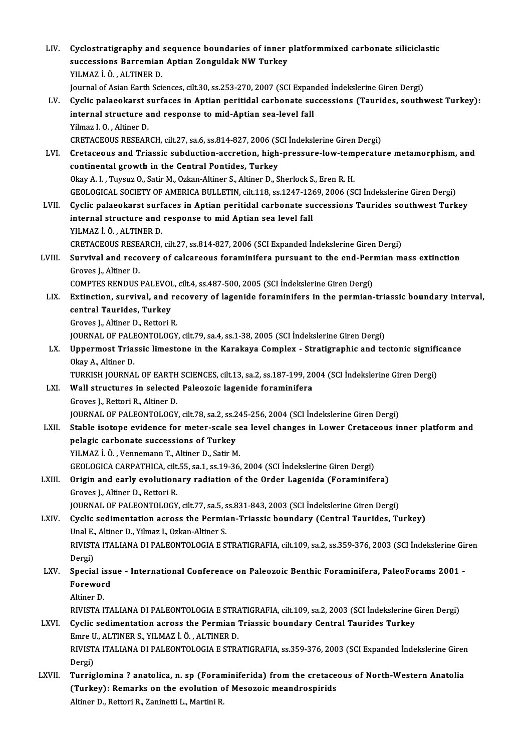| LIV.   | Cyclostratigraphy and sequence boundaries of inner platformmixed carbonate siliciclastic                             |
|--------|----------------------------------------------------------------------------------------------------------------------|
|        | successions Barremian Aptian Zonguldak NW Turkey                                                                     |
|        | YILMAZ İ. Ö., ALTINER D.                                                                                             |
|        | Journal of Asian Earth Sciences, cilt.30, ss.253-270, 2007 (SCI Expanded Indekslerine Giren Dergi)                   |
| LV.    | Cyclic palaeokarst surfaces in Aptian peritidal carbonate successions (Taurides, southwest Turkey):                  |
|        | internal structure and response to mid-Aptian sea-level fall                                                         |
|        | Yilmaz I.O., Altiner D.                                                                                              |
|        | CRETACEOUS RESEARCH, cilt.27, sa.6, ss.814-827, 2006 (SCI Indekslerine Giren Dergi)                                  |
| LVI.   | Cretaceous and Triassic subduction-accretion, high-pressure-low-temperature metamorphism, and                        |
|        | continental growth in the Central Pontides, Turkey                                                                   |
|        | Okay A. I., Tuysuz O., Satir M., Ozkan-Altiner S., Altiner D., Sherlock S., Eren R. H.                               |
|        | GEOLOGICAL SOCIETY OF AMERICA BULLETIN, cilt.118, ss.1247-1269, 2006 (SCI İndekslerine Giren Dergi)                  |
| LVII.  | Cyclic palaeokarst surfaces in Aptian peritidal carbonate successions Taurides southwest Turkey                      |
|        | internal structure and response to mid Aptian sea level fall                                                         |
|        | YILMAZ İ Ö , ALTINER D.                                                                                              |
|        | CRETACEOUS RESEARCH, cilt.27, ss.814-827, 2006 (SCI Expanded Indekslerine Giren Dergi)                               |
| LVIII. | Survival and recovery of calcareous foraminifera pursuant to the end-Permian mass extinction<br>Groves J, Altiner D. |
|        | COMPTES RENDUS PALEVOL, cilt.4, ss.487-500, 2005 (SCI Indekslerine Giren Dergi)                                      |
| LIX.   | Extinction, survival, and recovery of lagenide foraminifers in the permian-triassic boundary interval,               |
|        | central Taurides, Turkey                                                                                             |
|        | Groves J., Altiner D., Rettori R.                                                                                    |
|        | JOURNAL OF PALEONTOLOGY, cilt.79, sa.4, ss.1-38, 2005 (SCI İndekslerine Giren Dergi)                                 |
| LX.    | Uppermost Triassic limestone in the Karakaya Complex - Stratigraphic and tectonic significance                       |
|        | Okay A., Altiner D.                                                                                                  |
|        | TURKISH JOURNAL OF EARTH SCIENCES, cilt.13, sa.2, ss.187-199, 2004 (SCI İndekslerine Giren Dergi)                    |
| LXI.   | Wall structures in selected Paleozoic lagenide foraminifera                                                          |
|        | Groves J., Rettori R., Altiner D.                                                                                    |
|        | JOURNAL OF PALEONTOLOGY, cilt.78, sa.2, ss.245-256, 2004 (SCI İndekslerine Giren Dergi)                              |
| LXII.  | Stable isotope evidence for meter-scale sea level changes in Lower Cretaceous inner platform and                     |
|        | pelagic carbonate successions of Turkey                                                                              |
|        | YILMAZ İ. Ö., Vennemann T., Altiner D., Satir M.                                                                     |
|        | GEOLOGICA CARPATHICA, cilt.55, sa.1, ss.19-36, 2004 (SCI Indekslerine Giren Dergi)                                   |
| LXIII. | Origin and early evolutionary radiation of the Order Lagenida (Foraminifera)                                         |
|        | Groves J., Altiner D., Rettori R.                                                                                    |
|        | JOURNAL OF PALEONTOLOGY, cilt.77, sa.5, ss.831-843, 2003 (SCI Indekslerine Giren Dergi)                              |
| LXIV.  | Cyclic sedimentation across the Permian-Triassic boundary (Central Taurides, Turkey)                                 |
|        | Unal E., Altiner D., Yilmaz I., Ozkan-Altiner S.                                                                     |
|        | RIVISTA ITALIANA DI PALEONTOLOGIA E STRATIGRAFIA, cilt.109, sa.2, ss.359-376, 2003 (SCI İndekslerine Giren           |
|        | Dergi)                                                                                                               |
| LXV.   | Special issue - International Conference on Paleozoic Benthic Foraminifera, PaleoForams 2001 -<br>Foreword           |
|        | Altiner D                                                                                                            |
|        | RIVISTA ITALIANA DI PALEONTOLOGIA E STRATIGRAFIA, cilt.109, sa.2, 2003 (SCI İndekslerine Giren Dergi)                |
| LXVI.  | Cyclic sedimentation across the Permian Triassic boundary Central Taurides Turkey                                    |
|        | Emre U., ALTINER S., YILMAZ İ. Ö., ALTINER D.                                                                        |
|        | RIVISTA ITALIANA DI PALEONTOLOGIA E STRATIGRAFIA, ss.359-376, 2003 (SCI Expanded İndekslerine Giren                  |
|        | Dergi)                                                                                                               |
| LXVII. | Turriglomina ? anatolica, n. sp (Foraminiferida) from the cretaceous of North-Western Anatolia                       |
|        | (Turkey): Remarks on the evolution of Mesozoic meandrospirids                                                        |
|        | Altiner D., Rettori R., Zaninetti L., Martini R.                                                                     |
|        |                                                                                                                      |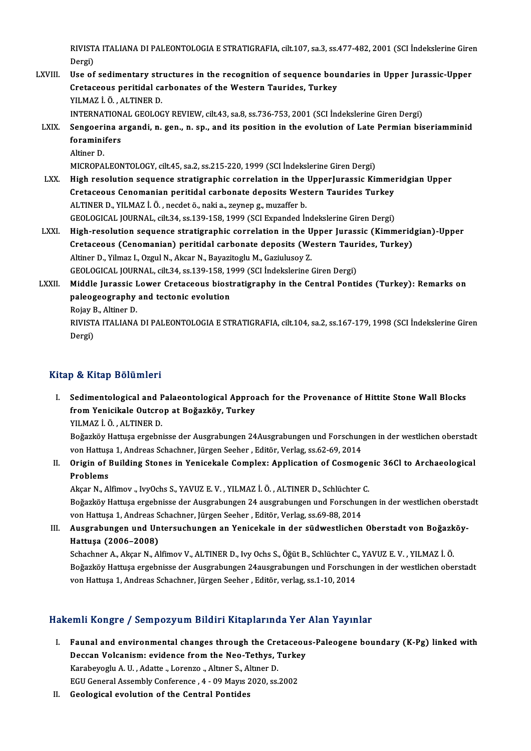RIVISTA ITALIANA DI PALEONTOLOGIA E STRATIGRAFIA, cilt.107, sa.3, ss.477-482, 2001 (SCI İndekslerine Giren<br>Persi RIVIST.<br>Dergi)<br>Hee ef RIVISTA ITALIANA DI PALEONTOLOGIA E STRATIGRAFIA, cilt.107, sa.3, ss.477-482, 2001 (SCI Indekslerine Gire:<br>Dergi)<br>LXVIII. Use of sedimentary structures in the recognition of sequence boundaries in Upper Jurassic-Upper<br>Crat

Dergi)<br>Use of sedimentary structures in the recognition of sequence bou<br>Cretaceous peritidal carbonates of the Western Taurides, Turkey<br>YU MAZ LÖ, ALTINER D Use of sedimentary str<br>Cretaceous peritidal ca<br>YILMAZ İ. Ö. , ALTINER D.<br>INTERNATIONAL CEOLOC YILMAZ İ. Ö. , ALTINER D.<br>INTERNATIONAL GEOLOGY REVIEW, cilt.43, sa.8, ss.736-753, 2001 (SCI İndekslerine Giren Dergi)

YILMAZ İ. Ö. , ALTINER D.<br>INTERNATIONAL GEOLOGY REVIEW, cilt.43, sa.8, ss.736-753, 2001 (SCI İndekslerine Giren Dergi)<br>LXIX. Sengoerina argandi, n. gen., n. sp., and its position in the evolution of Late Permian biseri INTERNATION<br>Sengoerina a<br>foraminifers<br>Altinor D

Se<mark>ngoeri</mark><br>foramini<br>Altiner D.<br>MICROPA

foraminifers<br>Altiner D.<br>MICROPALEONTOLOGY, cilt.45, sa.2, ss.215-220, 1999 (SCI İndekslerine Giren Dergi)<br>Hish resolution seguence stratigraphic serrelation in the UnnerJuressis Ki;

- Altiner D.<br>MICROPALEONTOLOGY, cilt.45, sa.2, ss.215-220, 1999 (SCI İndekslerine Giren Dergi)<br>LXX. High resolution sequence stratigraphic correlation in the UpperJurassic Kimmeridgian Upper<br>Crategoous Conomanian poritid MICROPALEONTOLOGY, cilt.45, sa.2, ss.215-220, 1999 (SCI İndekslerine Giren Dergi)<br>High resolution sequence stratigraphic correlation in the UpperJurassic Kimme:<br>Cretaceous Cenomanian peritidal carbonate deposits Western Ta High resolution sequence stratigraphic correlation in the<br>Cretaceous Cenomanian peritidal carbonate deposits Wes<br>ALTINER D., YILMAZ İ.Ö., necdet ö., naki a., zeynep g., muzaffer b.<br>CEOLOCICAL JOUPMAL silt 24. ss 129, 159, Cretaceous Cenomanian peritidal carbonate deposits Western Taurides Turkey<br>ALTINER D., YILMAZ İ. Ö. , necdet ö., naki a., zeynep g., muzaffer b.<br>GEOLOGICAL JOURNAL, cilt.34, ss.139-158, 1999 (SCI Expanded İndekslerine Gire ALTINER D., YILMAZ İ. Ö. , necdet ö., naki a., zeynep g., muzaffer b.<br>GEOLOGICAL JOURNAL, cilt.34, ss.139-158, 1999 (SCI Expanded Indekslerine Giren Dergi)<br>LXXI. High-resolution sequence stratigraphic correlation in the Up
- GEOLOGICAL JOURNAL, cilt.34, ss.139-158, 1999 (SCI Expanded İndekslerine Giren Dergi)<br>High-resolution sequence stratigraphic correlation in the Upper Jurassic (Kimmerid<br>Cretaceous (Cenomanian) peritidal carbonate deposits High-resolution sequence stratigraphic correlation in the U<br>Cretaceous (Cenomanian) peritidal carbonate deposits (We<br>Altiner D., Yilmaz I., Ozgul N., Akcar N., Bayazitoglu M., Gaziulusoy Z.<br>CEOLOCICAL JOUPMAL silt 24, 82,1 Cretaceous (Cenomanian) peritidal carbonate deposits (Western Taurides, Turkey)<br>Altiner D., Yilmaz I., Ozgul N., Akcar N., Bayazitoglu M., Gaziulusoy Z.<br>GEOLOGICAL JOURNAL, cilt.34, ss.139-158, 1999 (SCI İndekslerine Giren Altiner D., Yilmaz I., Ozgul N., Akcar N., Bayazitoglu M., Gaziulusoy Z.<br>GEOLOGICAL JOURNAL, cilt.34, ss.139-158, 1999 (SCI İndekslerine Giren Dergi)<br>LXXII. Middle Jurassic Lower Cretaceous biostratigraphy in the Central P
- GEOLOGICAL JOURNAL, cilt.34, ss.139-158, 19<br>Middle Jurassic Lower Cretaceous biost<br>paleogeography and tectonic evolution<br>Poisy P. Altiner D. Middle Jurassic I<br>paleogeography<br>Rojay B., Altiner D.<br>PIVISTA ITALIANA paleogeography and tectonic evolution<br>Rojay B., Altiner D.<br>RIVISTA ITALIANA DI PALEONTOLOGIA E STRATIGRAFIA, cilt.104, sa.2, ss.167-179, 1998 (SCI İndekslerine Giren<br>Dergi) Rojay B., Altiner D.

## Kitap & Kitap Bölümleri

I. Sedimentological and Palaeontological Approach for the Provenance of Hittite StoneWal Blocks p & Intep Bordmior<br>Sedimentological and Palaeontological Approa<br>from Yenicikale Outcrop at Boğazköy, Turkey<br>VUMAZİÖ ALTINER D Sedimentological and F<br>from Yenicikale Outcro<br>YILMAZ İ.Ö., ALTINER D.<br>Boğarlığı: Hattuse orgahn

fr<mark>om Yenicikale Outcrop at Boğazköy, Turkey</mark><br>YILMAZ İ. Ö. , ALTINER D.<br>Boğazköy Hattuşa ergebnisse der Ausgrabungen 24Ausgrabungen und Forschungen in der westlichen oberstadt<br>von Hattuga 1. Andress Schasbner, Fürsen Seebe YILMAZ İ. Ö. , ALTINER D.<br>Boğazköy Hattuşa ergebnisse der Ausgrabungen 24Ausgrabungen und Forschun;<br>von Hattuşa 1, Andreas Schachner, Jürgen Seeher , Editör, Verlag, ss.62-69, 2014<br>Origin of Building Stones in Venisekale C Boğazköy Hattuşa ergebnisse der Ausgrabungen 24Ausgrabungen und Forschungen in der westlichen oberstadt<br>von Hattuşa 1, Andreas Schachner, Jürgen Seeher , Editör, Verlag, ss.62-69, 2014<br>II. Origin of Building Stones in Yeni

## von Hattus<br>**Origin of l<br>Problems**<br>Akeer N Al Origin of Building Stones in Yenicekale Complex: Application of Cosmoger<br>Problems<br>Akçar N., Alfimov ., IvyOchs S., YAVUZ E. V. , YILMAZ İ. Ö. , ALTINER D., Schlüchter C.<br>Beğarlığı: Hattuce ergebnisse der Ausznabunger 24 au

Problems<br>Akçar N., Alfimov ., IvyOchs S., YAVUZ E. V. , YILMAZ İ. Ö. , ALTINER D., Schlüchter C.<br>Boğazköy Hattuşa ergebnisse der Ausgrabungen 24 ausgrabungen und Forschungen in der westlichen oberstadt<br>von Hattuşa 1, Andre Akçar N., Alfimov ., IvyOchs S., YAVUZ E. V. , YILMAZ İ. Ö. , ALTINER D., Schlüchter<br>Boğazköy Hattuşa ergebnisse der Ausgrabungen 24 ausgrabungen und Forschun<br>von Hattuşa 1, Andreas Schachner, Jürgen Seeher , Editör, Verla

## III. Ausgrabungen und Untersuchungen an Yenicekale in der südwestlichen Oberstadt von Boğazköy-Hattuşa (2006–2008) Ausgrabungen und Untersuchungen an Yenicekale in der südwestlichen Oberstadt von Boğazk<br>Hattuşa (2006–2008)<br>Schachner A., Akçar N., Alfimov V., ALTINER D., Ivy Ochs S., Öğüt B., Schlüchter C., YAVUZ E. V. , YILMAZ İ. Ö<br>Boğ

Hattuşa (2006–2008)<br>Schachner A., Akçar N., Alfimov V., ALTINER D., Ivy Ochs S., Öğüt B., Schlüchter C., YAVUZ E. V. , YILMAZ İ. Ö<br>Boğazköy Hattuşa ergebnisse der Ausgrabungen 24ausgrabungen und Forschungen in der westlich Schachner A., Akçar N., Alfimov V., ALTINER D., Ivy Ochs S., Öğüt B., Schlüchter C.<br>Boğazköy Hattuşa ergebnisse der Ausgrabungen 24ausgrabungen und Forschu<br>von Hattuşa 1, Andreas Schachner, Jürgen Seeher , Editör, verlag,

## von Hattuşa 1, Andreas Schachner, Jürgen Seeher , Editör, verlag, ss.1-10, 2014<br>Hakemli Kongre / Sempozyum Bildiri Kitaplarında Yer Alan Yayınlar

- akemli Kongre / Sempozyum Bildiri Kitaplarında Yer Alan Yayınlar<br>I. Faunal and environmental changes through the Cretaceous-Paleogene boundary (K-Pg) linked with<br>Dessen Velenzism: evidence from the Nee Tethys. Turkey Faunal and environmental changes through the Cretaceou<br>Deccan Volcanism: evidence from the Neo-Tethys, Turkey<br>Kambayosh: A H., Aditte, Lerenze, Altner S. Altner D. Faunal and environmental changes through the Cre<br>Deccan Volcanism: evidence from the Neo-Tethys, 1<br>Karabeyoglu A.U., Adatte ., Lorenzo ., Altıner S., Altıner D. Deccan Volcanism: evidence from the Neo-Tethys, Turkey<br>Karabeyoglu A. U., Adatte "Lorenzo "Altıner S., Altıner D.<br>EGU General Assembly Conference , 4 - 09 Mayıs 2020, ss.2002
- II. Geological evolution of the Central Pontides